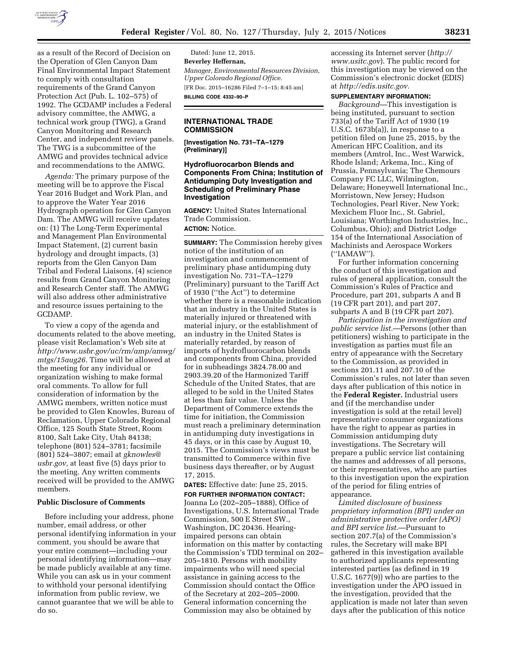

as a result of the Record of Decision on the Operation of Glen Canyon Dam Final Environmental Impact Statement to comply with consultation requirements of the Grand Canyon Protection Act (Pub. L. 102–575) of 1992. The GCDAMP includes a Federal advisory committee, the AMWG, a technical work group (TWG), a Grand Canyon Monitoring and Research Center, and independent review panels. The TWG is a subcommittee of the AMWG and provides technical advice and recommendations to the AMWG.

*Agenda:* The primary purpose of the meeting will be to approve the Fiscal Year 2016 Budget and Work Plan, and to approve the Water Year 2016 Hydrograph operation for Glen Canyon Dam. The AMWG will receive updates on: (1) The Long-Term Experimental and Management Plan Environmental Impact Statement, (2) current basin hydrology and drought impacts, (3) reports from the Glen Canyon Dam Tribal and Federal Liaisons, (4) science results from Grand Canyon Monitoring and Research Center staff. The AMWG will also address other administrative and resource issues pertaining to the GCDAMP.

To view a copy of the agenda and documents related to the above meeting, please visit Reclamation's Web site at *[http://www.usbr.gov/uc/rm/amp/amwg/](http://www.usbr.gov/uc/rm/amp/amwg/mtgs/15aug26) [mtgs/15aug26.](http://www.usbr.gov/uc/rm/amp/amwg/mtgs/15aug26)* Time will be allowed at the meeting for any individual or organization wishing to make formal oral comments. To allow for full consideration of information by the AMWG members, written notice must be provided to Glen Knowles, Bureau of Reclamation, Upper Colorado Regional Office, 125 South State Street, Room 8100, Salt Lake City, Utah 84138; telephone (801) 524–3781; facsimile (801) 524–3807; email at *[gknowles@](mailto:gknowles@usbr.gov) [usbr.gov,](mailto:gknowles@usbr.gov)* at least five (5) days prior to the meeting. Any written comments received will be provided to the AMWG members.

## **Public Disclosure of Comments**

Before including your address, phone number, email address, or other personal identifying information in your comment, you should be aware that your entire comment—including your personal identifying information—may be made publicly available at any time. While you can ask us in your comment to withhold your personal identifying information from public review, we cannot guarantee that we will be able to do so.

Dated: June 12, 2015. **Beverley Heffernan,**  *Manager, Environmental Resources Division, Upper Colorado Regional Office.*  [FR Doc. 2015–16286 Filed 7–1–15; 8:45 am] **BILLING CODE 4332–90–P** 

## **INTERNATIONAL TRADE COMMISSION**

**[Investigation No. 731–TA–1279 (Preliminary)]** 

# **Hydrofluorocarbon Blends and Components From China; Institution of Antidumping Duty Investigation and Scheduling of Preliminary Phase Investigation**

**AGENCY:** United States International Trade Commission. **ACTION:** Notice.

**SUMMARY:** The Commission hereby gives notice of the institution of an investigation and commencement of preliminary phase antidumping duty investigation No. 731–TA–1279 (Preliminary) pursuant to the Tariff Act of 1930 (''the Act'') to determine whether there is a reasonable indication that an industry in the United States is materially injured or threatened with material injury, or the establishment of an industry in the United States is materially retarded, by reason of imports of hydrofluorocarbon blends and components from China, provided for in subheadings 3824.78.00 and 2903.39.20 of the Harmonized Tariff Schedule of the United States, that are alleged to be sold in the United States at less than fair value. Unless the Department of Commerce extends the time for initiation, the Commission must reach a preliminary determination in antidumping duty investigations in 45 days, or in this case by August 10, 2015. The Commission's views must be transmitted to Commerce within five business days thereafter, or by August 17, 2015.

# **DATES:** Effective date: June 25, 2015.

**FOR FURTHER INFORMATION CONTACT:**  Joanna Lo (202–205–1888), Office of Investigations, U.S. International Trade Commission, 500 E Street SW., Washington, DC 20436. Hearingimpaired persons can obtain information on this matter by contacting the Commission's TDD terminal on 202– 205–1810. Persons with mobility impairments who will need special assistance in gaining access to the Commission should contact the Office of the Secretary at 202–205–2000. General information concerning the Commission may also be obtained by

accessing its Internet server (*[http://](http://www.usitc.gov) [www.usitc.gov](http://www.usitc.gov)*). The public record for this investigation may be viewed on the Commission's electronic docket (EDIS) at *[http://edis.usitc.gov.](http://edis.usitc.gov)* 

## **SUPPLEMENTARY INFORMATION:**

*Background*—This investigation is being instituted, pursuant to section 733(a) of the Tariff Act of 1930 (19 U.S.C. 1673b(a)), in response to a petition filed on June 25, 2015, by the American HFC Coalition, and its members (Amtrol, Inc., West Warwick, Rhode Island; Arkema, Inc., King of Prussia, Pennsylvania; The Chemours Company FC LLC, Wilmington, Delaware; Honeywell International Inc., Morristown, New Jersey; Hudson Technologies, Pearl River, New York; Mexichem Fluor Inc., St. Gabriel, Louisiana; Worthington Industries, Inc., Columbus, Ohio); and District Lodge 154 of the International Association of Machinists and Aerospace Workers (''IAMAW'').

For further information concerning the conduct of this investigation and rules of general application, consult the Commission's Rules of Practice and Procedure, part 201, subparts A and B (19 CFR part 201), and part 207, subparts A and B (19 CFR part 207).

*Participation in the investigation and public service list.*—Persons (other than petitioners) wishing to participate in the investigation as parties must file an entry of appearance with the Secretary to the Commission, as provided in sections 201.11 and 207.10 of the Commission's rules, not later than seven days after publication of this notice in the **Federal Register.** Industrial users and (if the merchandise under investigation is sold at the retail level) representative consumer organizations have the right to appear as parties in Commission antidumping duty investigations. The Secretary will prepare a public service list containing the names and addresses of all persons, or their representatives, who are parties to this investigation upon the expiration of the period for filing entries of appearance.

*Limited disclosure of business proprietary information (BPI) under an administrative protective order (APO) and BPI service list.*—Pursuant to section 207.7(a) of the Commission's rules, the Secretary will make BPI gathered in this investigation available to authorized applicants representing interested parties (as defined in 19 U.S.C. 1677(9)) who are parties to the investigation under the APO issued in the investigation, provided that the application is made not later than seven days after the publication of this notice